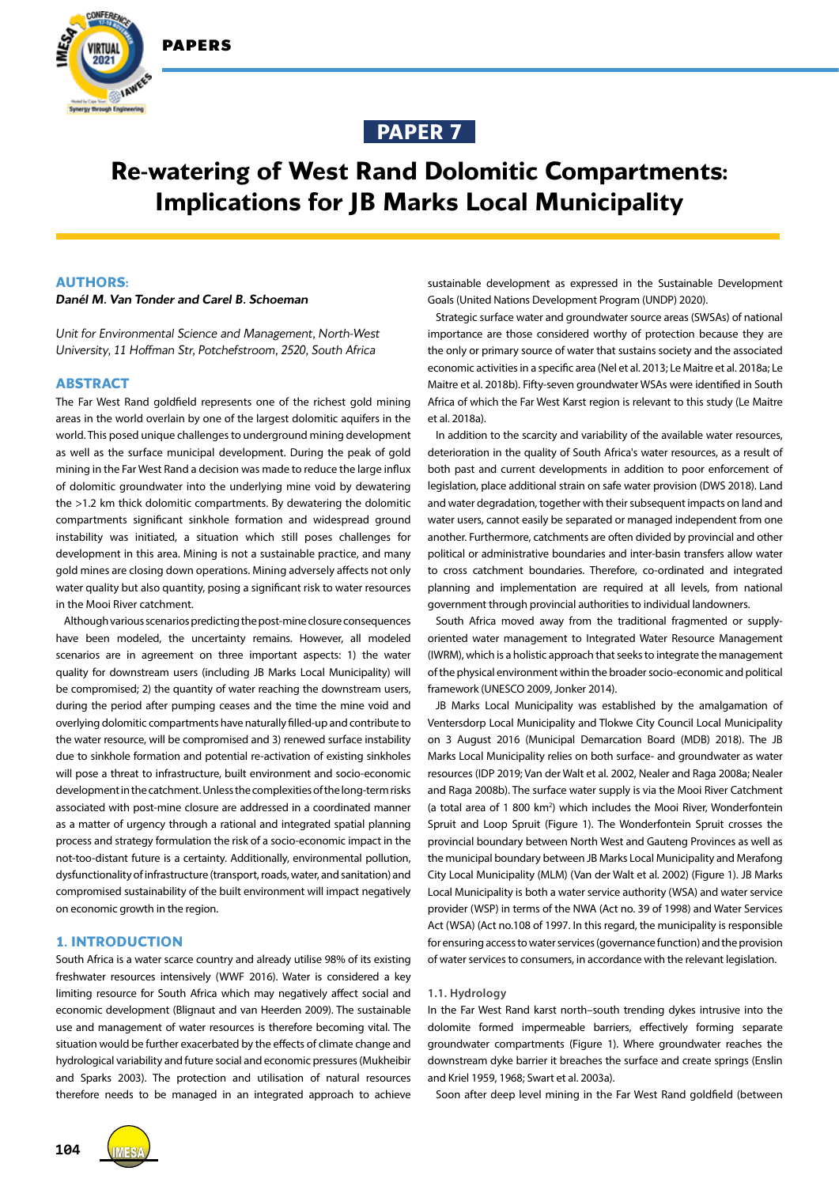

IAWEE



# **Re-watering of West Rand Dolomitic Compartments: Implications for JB Marks Local Municipality**

# **AUTHORS:**

# *Danél M. Van Tonder and Carel B. Schoeman*

*Unit for Environmental Science and Management, North-West University, 11 Hoffman Str, Potchefstroom, 2520, South Africa*

#### **ABSTRACT**

The Far West Rand goldfield represents one of the richest gold mining areas in the world overlain by one of the largest dolomitic aquifers in the world. This posed unique challenges to underground mining development as well as the surface municipal development. During the peak of gold mining in the Far West Rand a decision was made to reduce the large influx of dolomitic groundwater into the underlying mine void by dewatering the >1.2 km thick dolomitic compartments. By dewatering the dolomitic compartments significant sinkhole formation and widespread ground instability was initiated, a situation which still poses challenges for development in this area. Mining is not a sustainable practice, and many gold mines are closing down operations. Mining adversely affects not only water quality but also quantity, posing a significant risk to water resources in the Mooi River catchment.

Although various scenarios predicting the post-mine closure consequences have been modeled, the uncertainty remains. However, all modeled scenarios are in agreement on three important aspects: 1) the water quality for downstream users (including JB Marks Local Municipality) will be compromised; 2) the quantity of water reaching the downstream users, during the period after pumping ceases and the time the mine void and overlying dolomitic compartments have naturally filled-up and contribute to the water resource, will be compromised and 3) renewed surface instability due to sinkhole formation and potential re-activation of existing sinkholes will pose a threat to infrastructure, built environment and socio-economic development in the catchment. Unless the complexities of the long-term risks associated with post-mine closure are addressed in a coordinated manner as a matter of urgency through a rational and integrated spatial planning process and strategy formulation the risk of a socio-economic impact in the not-too-distant future is a certainty. Additionally, environmental pollution, dysfunctionality of infrastructure (transport, roads, water, and sanitation) and compromised sustainability of the built environment will impact negatively on economic growth in the region.

# **1. INTRODUCTION**

South Africa is a water scarce country and already utilise 98% of its existing freshwater resources intensively (WWF 2016). Water is considered a key limiting resource for South Africa which may negatively affect social and economic development (Blignaut and van Heerden 2009). The sustainable use and management of water resources is therefore becoming vital. The situation would be further exacerbated by the effects of climate change and hydrological variability and future social and economic pressures (Mukheibir and Sparks 2003). The protection and utilisation of natural resources therefore needs to be managed in an integrated approach to achieve



Strategic surface water and groundwater source areas (SWSAs) of national importance are those considered worthy of protection because they are the only or primary source of water that sustains society and the associated economic activities in a specific area (Nel et al. 2013; Le Maitre et al. 2018a; Le Maitre et al. 2018b). Fifty-seven groundwater WSAs were identified in South Africa of which the Far West Karst region is relevant to this study (Le Maitre et al. 2018a).

In addition to the scarcity and variability of the available water resources, deterioration in the quality of South Africa's water resources, as a result of both past and current developments in addition to poor enforcement of legislation, place additional strain on safe water provision (DWS 2018). Land and water degradation, together with their subsequent impacts on land and water users, cannot easily be separated or managed independent from one another. Furthermore, catchments are often divided by provincial and other political or administrative boundaries and inter-basin transfers allow water to cross catchment boundaries. Therefore, co-ordinated and integrated planning and implementation are required at all levels, from national government through provincial authorities to individual landowners.

South Africa moved away from the traditional fragmented or supplyoriented water management to Integrated Water Resource Management (IWRM), which is a holistic approach that seeks to integrate the management of the physical environment within the broader socio-economic and political framework (UNESCO 2009, Jonker 2014).

JB Marks Local Municipality was established by the amalgamation of Ventersdorp Local Municipality and Tlokwe City Council Local Municipality on 3 August 2016 (Municipal Demarcation Board (MDB) 2018). The JB Marks Local Municipality relies on both surface- and groundwater as water resources (IDP 2019; Van der Walt et al. 2002, Nealer and Raga 2008a; Nealer and Raga 2008b). The surface water supply is via the Mooi River Catchment (a total area of 1 800 km<sup>2</sup>) which includes the Mooi River, Wonderfontein Spruit and Loop Spruit (Figure 1). The Wonderfontein Spruit crosses the provincial boundary between North West and Gauteng Provinces as well as the municipal boundary between JB Marks Local Municipality and Merafong City Local Municipality (MLM) (Van der Walt et al. 2002) (Figure 1). JB Marks Local Municipality is both a water service authority (WSA) and water service provider (WSP) in terms of the NWA (Act no. 39 of 1998) and Water Services Act (WSA) (Act no.108 of 1997. In this regard, the municipality is responsible for ensuring access to water services (governance function) and the provision of water services to consumers, in accordance with the relevant legislation.

#### **1.1. Hydrology**

In the Far West Rand karst north–south trending dykes intrusive into the dolomite formed impermeable barriers, effectively forming separate groundwater compartments (Figure 1). Where groundwater reaches the downstream dyke barrier it breaches the surface and create springs (Enslin and Kriel 1959, 1968; Swart et al. 2003a).

Soon after deep level mining in the Far West Rand goldfield (between

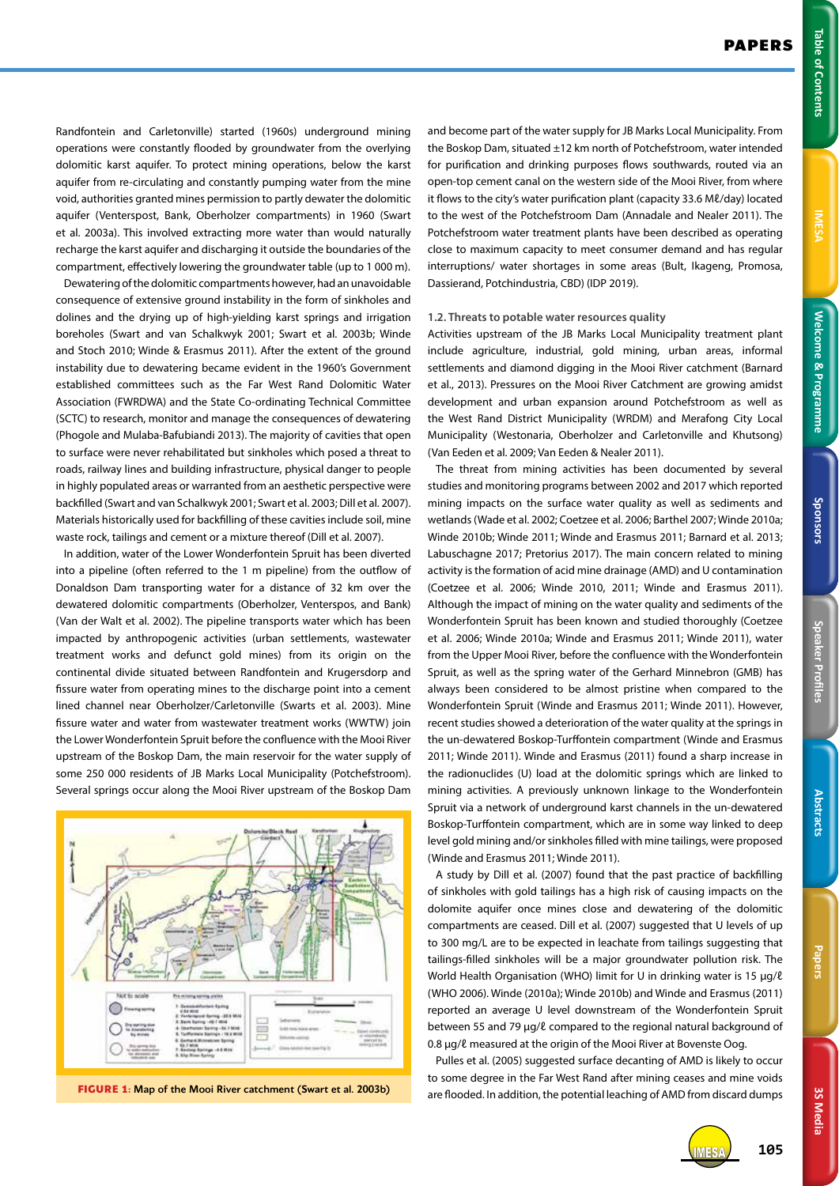Randfontein and Carletonville) started (1960s) underground mining operations were constantly flooded by groundwater from the overlying dolomitic karst aquifer. To protect mining operations, below the karst aquifer from re-circulating and constantly pumping water from the mine void, authorities granted mines permission to partly dewater the dolomitic aquifer (Venterspost, Bank, Oberholzer compartments) in 1960 (Swart et al. 2003a). This involved extracting more water than would naturally recharge the karst aquifer and discharging it outside the boundaries of the compartment, effectively lowering the groundwater table (up to 1 000 m).

Dewatering of the dolomitic compartments however, had an unavoidable consequence of extensive ground instability in the form of sinkholes and dolines and the drying up of high-yielding karst springs and irrigation boreholes (Swart and van Schalkwyk 2001; Swart et al. 2003b; Winde and Stoch 2010; Winde & Erasmus 2011). After the extent of the ground instability due to dewatering became evident in the 1960's Government established committees such as the Far West Rand Dolomitic Water Association (FWRDWA) and the State Co-ordinating Technical Committee (SCTC) to research, monitor and manage the consequences of dewatering (Phogole and Mulaba-Bafubiandi 2013). The majority of cavities that open to surface were never rehabilitated but sinkholes which posed a threat to roads, railway lines and building infrastructure, physical danger to people in highly populated areas or warranted from an aesthetic perspective were backfilled (Swart and van Schalkwyk 2001; Swart et al. 2003; Dill et al. 2007). Materials historically used for backfilling of these cavities include soil, mine waste rock, tailings and cement or a mixture thereof (Dill et al. 2007).

In addition, water of the Lower Wonderfontein Spruit has been diverted into a pipeline (often referred to the 1 m pipeline) from the outflow of Donaldson Dam transporting water for a distance of 32 km over the dewatered dolomitic compartments (Oberholzer, Venterspos, and Bank) (Van der Walt et al. 2002). The pipeline transports water which has been impacted by anthropogenic activities (urban settlements, wastewater treatment works and defunct gold mines) from its origin on the continental divide situated between Randfontein and Krugersdorp and fissure water from operating mines to the discharge point into a cement lined channel near Oberholzer/Carletonville (Swarts et al. 2003). Mine fissure water and water from wastewater treatment works (WWTW) join the Lower Wonderfontein Spruit before the confluence with the Mooi River upstream of the Boskop Dam, the main reservoir for the water supply of some 250 000 residents of JB Marks Local Municipality (Potchefstroom). Several springs occur along the Mooi River upstream of the Boskop Dam



**FIGURE 1:** Map of the Mooi River catchment (Swart et al. 2003b)

and become part of the water supply for JB Marks Local Municipality. From the Boskop Dam, situated ±12 km north of Potchefstroom, water intended for purification and drinking purposes flows southwards, routed via an open-top cement canal on the western side of the Mooi River, from where it flows to the city's water purification plant (capacity 33.6 Mℓ/day) located to the west of the Potchefstroom Dam (Annadale and Nealer 2011). The Potchefstroom water treatment plants have been described as operating close to maximum capacity to meet consumer demand and has regular interruptions/ water shortages in some areas (Bult, Ikageng, Promosa, Dassierand, Potchindustria, CBD) (IDP 2019).

#### **1.2. Threats to potable water resources quality**

Activities upstream of the JB Marks Local Municipality treatment plant include agriculture, industrial, gold mining, urban areas, informal settlements and diamond digging in the Mooi River catchment (Barnard et al., 2013). Pressures on the Mooi River Catchment are growing amidst development and urban expansion around Potchefstroom as well as the West Rand District Municipality (WRDM) and Merafong City Local Municipality (Westonaria, Oberholzer and Carletonville and Khutsong) (Van Eeden et al. 2009; Van Eeden & Nealer 2011).

The threat from mining activities has been documented by several studies and monitoring programs between 2002 and 2017 which reported mining impacts on the surface water quality as well as sediments and wetlands (Wade et al. 2002; Coetzee et al. 2006; Barthel 2007; Winde 2010a; Winde 2010b; Winde 2011; Winde and Erasmus 2011; Barnard et al. 2013; Labuschagne 2017; Pretorius 2017). The main concern related to mining activity is the formation of acid mine drainage (AMD) and U contamination (Coetzee et al. 2006; Winde 2010, 2011; Winde and Erasmus 2011). Although the impact of mining on the water quality and sediments of the Wonderfontein Spruit has been known and studied thoroughly (Coetzee et al. 2006; Winde 2010a; Winde and Erasmus 2011; Winde 2011), water from the Upper Mooi River, before the confluence with the Wonderfontein Spruit, as well as the spring water of the Gerhard Minnebron (GMB) has always been considered to be almost pristine when compared to the Wonderfontein Spruit (Winde and Erasmus 2011; Winde 2011). However, recent studies showed a deterioration of the water quality at the springs in the un-dewatered Boskop-Turffontein compartment (Winde and Erasmus 2011; Winde 2011). Winde and Erasmus (2011) found a sharp increase in the radionuclides (U) load at the dolomitic springs which are linked to mining activities. A previously unknown linkage to the Wonderfontein Spruit via a network of underground karst channels in the un-dewatered Boskop-Turffontein compartment, which are in some way linked to deep level gold mining and/or sinkholes filled with mine tailings, were proposed (Winde and Erasmus 2011; Winde 2011).

A study by Dill et al. (2007) found that the past practice of backfilling of sinkholes with gold tailings has a high risk of causing impacts on the dolomite aquifer once mines close and dewatering of the dolomitic compartments are ceased. Dill et al. (2007) suggested that U levels of up to 300 mg/L are to be expected in leachate from tailings suggesting that tailings-filled sinkholes will be a major groundwater pollution risk. The World Health Organisation (WHO) limit for U in drinking water is 15 µg/ℓ (WHO 2006). Winde (2010a); Winde 2010b) and Winde and Erasmus (2011) reported an average U level downstream of the Wonderfontein Spruit between 55 and 79 μg/ℓ compared to the regional natural background of 0.8 μg/ℓ measured at the origin of the Mooi River at Bovenste Oog.

Pulles et al. (2005) suggested surface decanting of AMD is likely to occur to some degree in the Far West Rand after mining ceases and mine voids are flooded. In addition, the potential leaching of AMD from discard dumps



**3S Media**

3S Media

IMESA **105**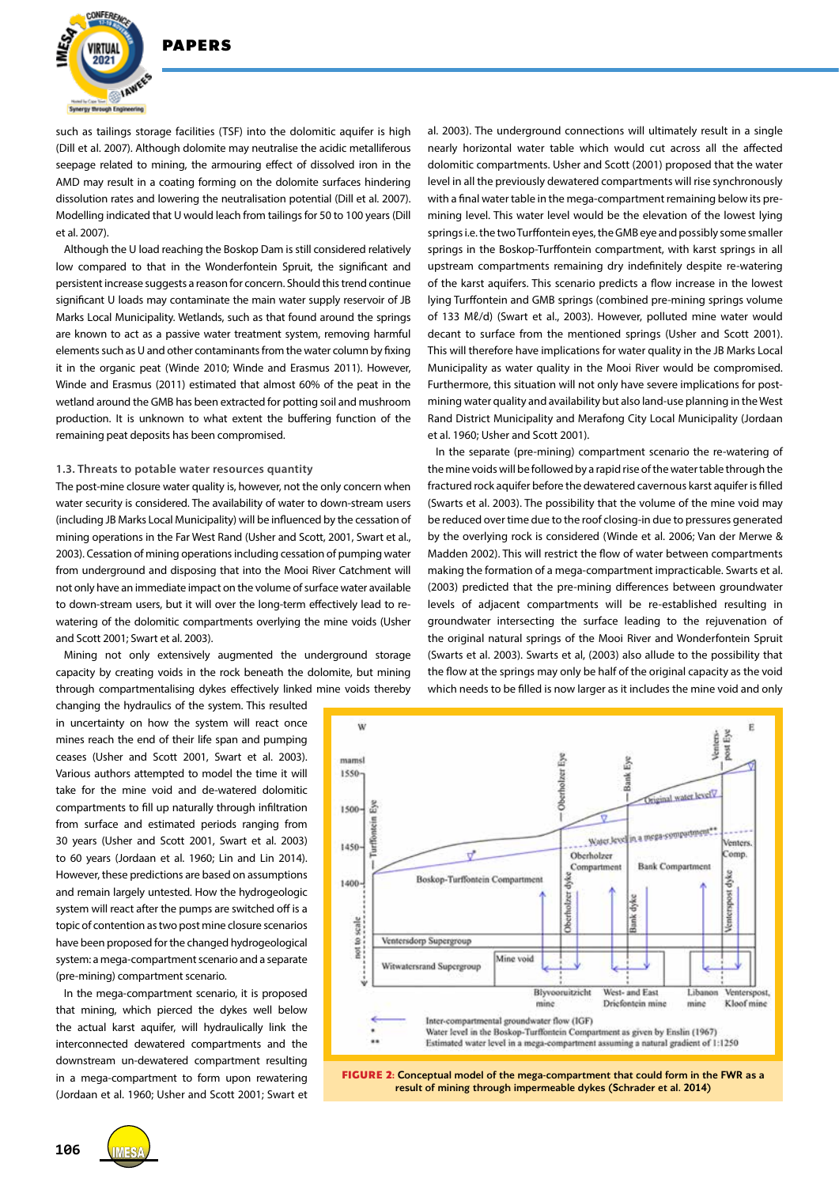

such as tailings storage facilities (TSF) into the dolomitic aquifer is high (Dill et al. 2007). Although dolomite may neutralise the acidic metalliferous seepage related to mining, the armouring effect of dissolved iron in the AMD may result in a coating forming on the dolomite surfaces hindering dissolution rates and lowering the neutralisation potential (Dill et al. 2007). Modelling indicated that U would leach from tailings for 50 to 100 years (Dill et al. 2007).

Although the U load reaching the Boskop Dam is still considered relatively low compared to that in the Wonderfontein Spruit, the significant and persistent increase suggests a reason for concern. Should this trend continue significant U loads may contaminate the main water supply reservoir of JB Marks Local Municipality. Wetlands, such as that found around the springs are known to act as a passive water treatment system, removing harmful elements such as U and other contaminants from the water column by fixing it in the organic peat (Winde 2010; Winde and Erasmus 2011). However, Winde and Erasmus (2011) estimated that almost 60% of the peat in the wetland around the GMB has been extracted for potting soil and mushroom production. It is unknown to what extent the buffering function of the remaining peat deposits has been compromised.

#### **1.3. Threats to potable water resources quantity**

The post-mine closure water quality is, however, not the only concern when water security is considered. The availability of water to down-stream users (including JB Marks Local Municipality) will be influenced by the cessation of mining operations in the Far West Rand (Usher and Scott, 2001, Swart et al., 2003). Cessation of mining operations including cessation of pumping water from underground and disposing that into the Mooi River Catchment will not only have an immediate impact on the volume of surface water available to down-stream users, but it will over the long-term effectively lead to rewatering of the dolomitic compartments overlying the mine voids (Usher and Scott 2001; Swart et al. 2003).

Mining not only extensively augmented the underground storage capacity by creating voids in the rock beneath the dolomite, but mining through compartmentalising dykes effectively linked mine voids thereby

changing the hydraulics of the system. This resulted in uncertainty on how the system will react once mines reach the end of their life span and pumping ceases (Usher and Scott 2001, Swart et al. 2003). Various authors attempted to model the time it will take for the mine void and de-watered dolomitic compartments to fill up naturally through infiltration from surface and estimated periods ranging from 30 years (Usher and Scott 2001, Swart et al. 2003) to 60 years (Jordaan et al. 1960; Lin and Lin 2014). However, these predictions are based on assumptions and remain largely untested. How the hydrogeologic system will react after the pumps are switched off is a topic of contention as two post mine closure scenarios have been proposed for the changed hydrogeological system: a mega-compartment scenario and a separate (pre-mining) compartment scenario.

In the mega-compartment scenario, it is proposed that mining, which pierced the dykes well below the actual karst aquifer, will hydraulically link the interconnected dewatered compartments and the downstream un-dewatered compartment resulting in a mega-compartment to form upon rewatering (Jordaan et al. 1960; Usher and Scott 2001; Swart et

al. 2003). The underground connections will ultimately result in a single nearly horizontal water table which would cut across all the affected dolomitic compartments. Usher and Scott (2001) proposed that the water level in all the previously dewatered compartments will rise synchronously with a final water table in the mega-compartment remaining below its premining level. This water level would be the elevation of the lowest lying springs i.e. the two Turffontein eyes, the GMB eye and possibly some smaller springs in the Boskop-Turffontein compartment, with karst springs in all upstream compartments remaining dry indefinitely despite re-watering of the karst aquifers. This scenario predicts a flow increase in the lowest lying Turffontein and GMB springs (combined pre-mining springs volume of 133 Mℓ/d) (Swart et al., 2003). However, polluted mine water would decant to surface from the mentioned springs (Usher and Scott 2001). This will therefore have implications for water quality in the JB Marks Local Municipality as water quality in the Mooi River would be compromised. Furthermore, this situation will not only have severe implications for postmining water quality and availability but also land-use planning in the West Rand District Municipality and Merafong City Local Municipality (Jordaan et al. 1960; Usher and Scott 2001).

In the separate (pre-mining) compartment scenario the re-watering of the mine voids will be followed by a rapid rise of the water table through the fractured rock aquifer before the dewatered cavernous karst aquifer is filled (Swarts et al. 2003). The possibility that the volume of the mine void may be reduced over time due to the roof closing-in due to pressures generated by the overlying rock is considered (Winde et al. 2006; Van der Merwe & Madden 2002). This will restrict the flow of water between compartments making the formation of a mega-compartment impracticable. Swarts et al. (2003) predicted that the pre-mining differences between groundwater levels of adjacent compartments will be re-established resulting in groundwater intersecting the surface leading to the rejuvenation of the original natural springs of the Mooi River and Wonderfontein Spruit (Swarts et al. 2003). Swarts et al, (2003) also allude to the possibility that the flow at the springs may only be half of the original capacity as the void which needs to be filled is now larger as it includes the mine void and only



result of mining through impermeable dykes (Schrader et al. 2014)

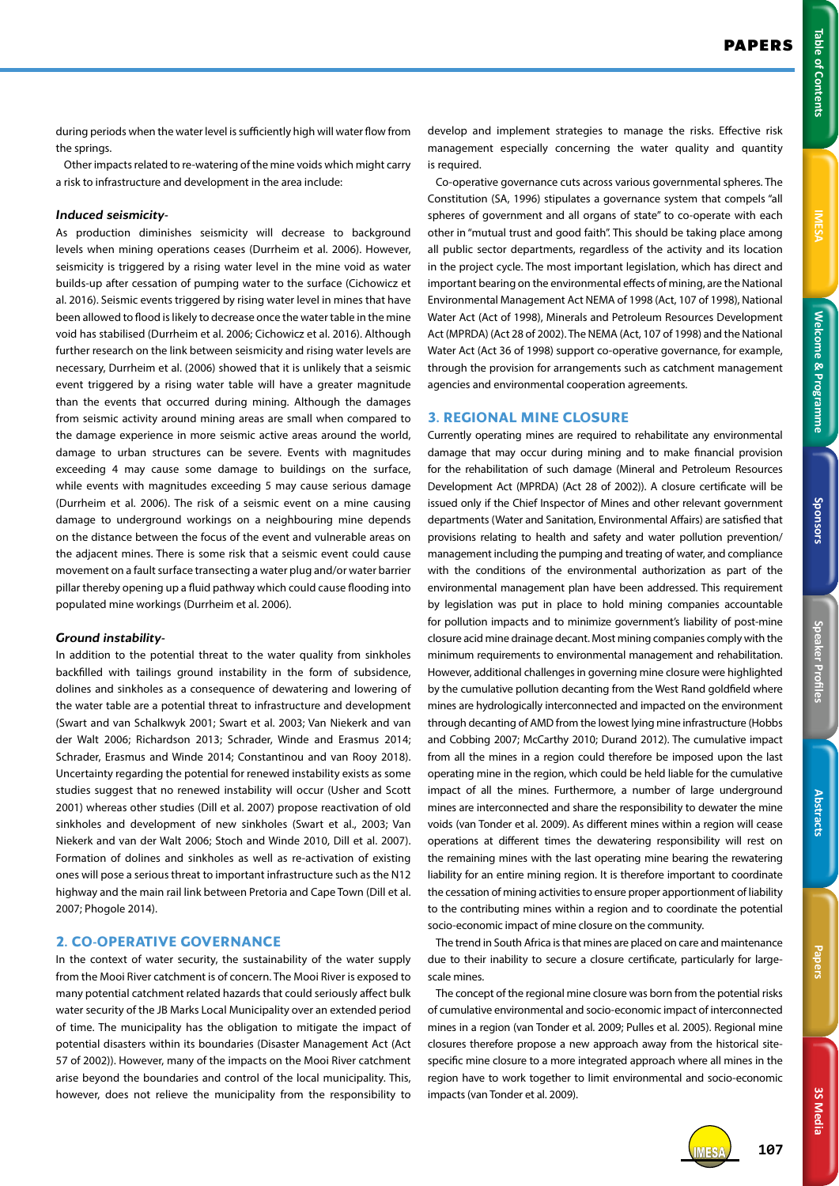IMESA **107**

during periods when the water level is sufficiently high will water flow from the springs.

Other impacts related to re-watering of the mine voids which might carry a risk to infrastructure and development in the area include:

#### *Induced seismicity-*

As production diminishes seismicity will decrease to background levels when mining operations ceases (Durrheim et al. 2006). However, seismicity is triggered by a rising water level in the mine void as water builds-up after cessation of pumping water to the surface (Cichowicz et al. 2016). Seismic events triggered by rising water level in mines that have been allowed to flood is likely to decrease once the water table in the mine void has stabilised (Durrheim et al. 2006; Cichowicz et al. 2016). Although further research on the link between seismicity and rising water levels are necessary, Durrheim et al. (2006) showed that it is unlikely that a seismic event triggered by a rising water table will have a greater magnitude than the events that occurred during mining. Although the damages from seismic activity around mining areas are small when compared to the damage experience in more seismic active areas around the world, damage to urban structures can be severe. Events with magnitudes exceeding 4 may cause some damage to buildings on the surface, while events with magnitudes exceeding 5 may cause serious damage (Durrheim et al. 2006). The risk of a seismic event on a mine causing damage to underground workings on a neighbouring mine depends on the distance between the focus of the event and vulnerable areas on the adjacent mines. There is some risk that a seismic event could cause movement on a fault surface transecting a water plug and/or water barrier pillar thereby opening up a fluid pathway which could cause flooding into populated mine workings (Durrheim et al. 2006).

#### *Ground instability-*

In addition to the potential threat to the water quality from sinkholes backfilled with tailings ground instability in the form of subsidence, dolines and sinkholes as a consequence of dewatering and lowering of the water table are a potential threat to infrastructure and development (Swart and van Schalkwyk 2001; Swart et al. 2003; Van Niekerk and van der Walt 2006; Richardson 2013; Schrader, Winde and Erasmus 2014; Schrader, Erasmus and Winde 2014; Constantinou and van Rooy 2018). Uncertainty regarding the potential for renewed instability exists as some studies suggest that no renewed instability will occur (Usher and Scott 2001) whereas other studies (Dill et al. 2007) propose reactivation of old sinkholes and development of new sinkholes (Swart et al., 2003; Van Niekerk and van der Walt 2006; Stoch and Winde 2010, Dill et al. 2007). Formation of dolines and sinkholes as well as re-activation of existing ones will pose a serious threat to important infrastructure such as the N12 highway and the main rail link between Pretoria and Cape Town (Dill et al. 2007; Phogole 2014).

# **2. CO-OPERATIVE GOVERNANCE**

In the context of water security, the sustainability of the water supply from the Mooi River catchment is of concern. The Mooi River is exposed to many potential catchment related hazards that could seriously affect bulk water security of the JB Marks Local Municipality over an extended period of time. The municipality has the obligation to mitigate the impact of potential disasters within its boundaries (Disaster Management Act (Act 57 of 2002)). However, many of the impacts on the Mooi River catchment arise beyond the boundaries and control of the local municipality. This, however, does not relieve the municipality from the responsibility to

develop and implement strategies to manage the risks. Effective risk management especially concerning the water quality and quantity is required.

Co-operative governance cuts across various governmental spheres. The Constitution (SA, 1996) stipulates a governance system that compels "all spheres of government and all organs of state" to co-operate with each other in "mutual trust and good faith". This should be taking place among all public sector departments, regardless of the activity and its location in the project cycle. The most important legislation, which has direct and important bearing on the environmental effects of mining, are the National Environmental Management Act NEMA of 1998 (Act, 107 of 1998), National Water Act (Act of 1998), Minerals and Petroleum Resources Development Act (MPRDA) (Act 28 of 2002). The NEMA (Act, 107 of 1998) and the National Water Act (Act 36 of 1998) support co-operative governance, for example, through the provision for arrangements such as catchment management agencies and environmental cooperation agreements.

#### **3. REGIONAL MINE CLOSURE**

Currently operating mines are required to rehabilitate any environmental damage that may occur during mining and to make financial provision for the rehabilitation of such damage (Mineral and Petroleum Resources Development Act (MPRDA) (Act 28 of 2002)). A closure certificate will be issued only if the Chief Inspector of Mines and other relevant government departments (Water and Sanitation, Environmental Affairs) are satisfied that provisions relating to health and safety and water pollution prevention/ management including the pumping and treating of water, and compliance with the conditions of the environmental authorization as part of the environmental management plan have been addressed. This requirement by legislation was put in place to hold mining companies accountable for pollution impacts and to minimize government's liability of post-mine closure acid mine drainage decant. Most mining companies comply with the minimum requirements to environmental management and rehabilitation. However, additional challenges in governing mine closure were highlighted by the cumulative pollution decanting from the West Rand goldfield where mines are hydrologically interconnected and impacted on the environment through decanting of AMD from the lowest lying mine infrastructure (Hobbs and Cobbing 2007; McCarthy 2010; Durand 2012). The cumulative impact from all the mines in a region could therefore be imposed upon the last operating mine in the region, which could be held liable for the cumulative impact of all the mines. Furthermore, a number of large underground mines are interconnected and share the responsibility to dewater the mine voids (van Tonder et al. 2009). As different mines within a region will cease operations at different times the dewatering responsibility will rest on the remaining mines with the last operating mine bearing the rewatering liability for an entire mining region. It is therefore important to coordinate the cessation of mining activities to ensure proper apportionment of liability to the contributing mines within a region and to coordinate the potential socio-economic impact of mine closure on the community.

The trend in South Africa is that mines are placed on care and maintenance due to their inability to secure a closure certificate, particularly for largescale mines.

The concept of the regional mine closure was born from the potential risks of cumulative environmental and socio-economic impact of interconnected mines in a region (van Tonder et al. 2009; Pulles et al. 2005). Regional mine closures therefore propose a new approach away from the historical sitespecific mine closure to a more integrated approach where all mines in the region have to work together to limit environmental and socio-economic impacts (van Tonder et al. 2009).



**3S Media**

3S Media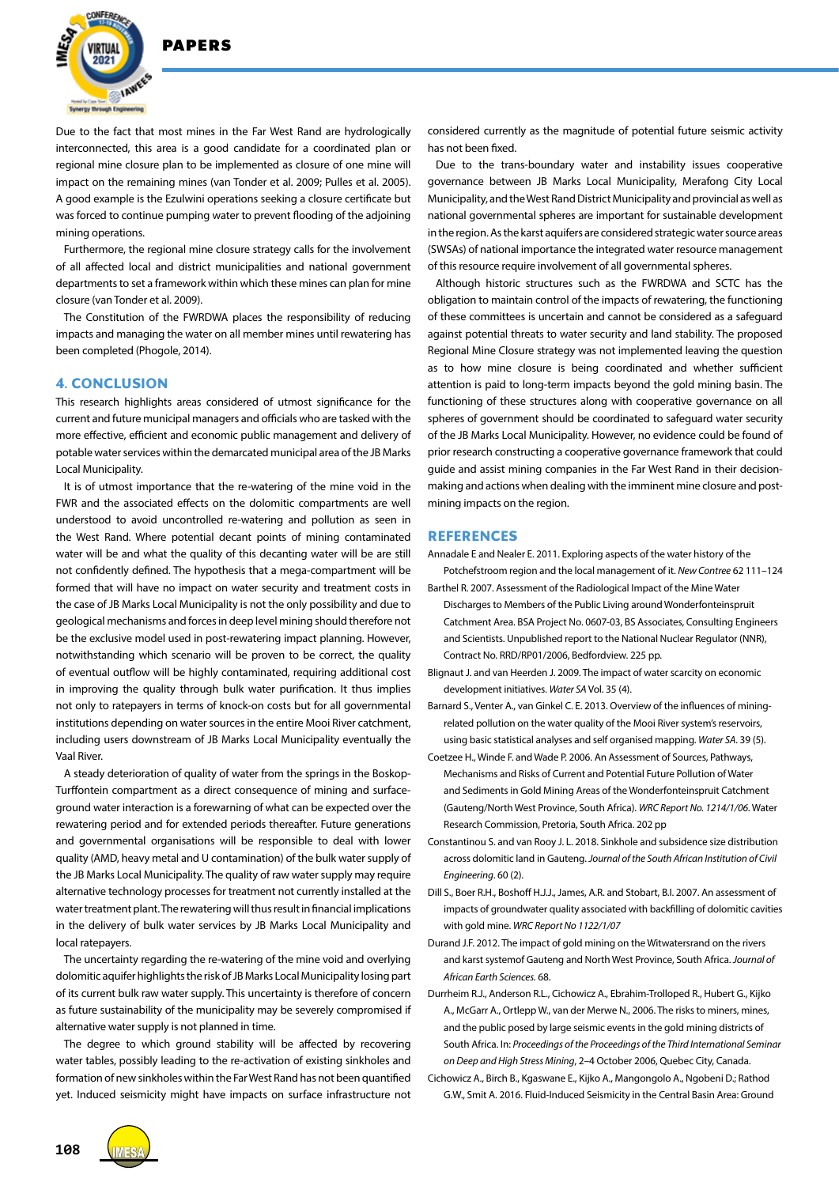

**DADEDS** 

Due to the fact that most mines in the Far West Rand are hydrologically interconnected, this area is a good candidate for a coordinated plan or regional mine closure plan to be implemented as closure of one mine will impact on the remaining mines (van Tonder et al. 2009; Pulles et al. 2005). A good example is the Ezulwini operations seeking a closure certificate but was forced to continue pumping water to prevent flooding of the adjoining mining operations.

Furthermore, the regional mine closure strategy calls for the involvement of all affected local and district municipalities and national government departments to set a framework within which these mines can plan for mine closure (van Tonder et al. 2009).

The Constitution of the FWRDWA places the responsibility of reducing impacts and managing the water on all member mines until rewatering has been completed (Phogole, 2014).

# **4. CONCLUSION**

This research highlights areas considered of utmost significance for the current and future municipal managers and officials who are tasked with the more effective, efficient and economic public management and delivery of potable water services within the demarcated municipal area of the JB Marks Local Municipality.

It is of utmost importance that the re-watering of the mine void in the FWR and the associated effects on the dolomitic compartments are well understood to avoid uncontrolled re-watering and pollution as seen in the West Rand. Where potential decant points of mining contaminated water will be and what the quality of this decanting water will be are still not confidently defined. The hypothesis that a mega-compartment will be formed that will have no impact on water security and treatment costs in the case of JB Marks Local Municipality is not the only possibility and due to geological mechanisms and forces in deep level mining should therefore not be the exclusive model used in post-rewatering impact planning. However, notwithstanding which scenario will be proven to be correct, the quality of eventual outflow will be highly contaminated, requiring additional cost in improving the quality through bulk water purification. It thus implies not only to ratepayers in terms of knock-on costs but for all governmental institutions depending on water sources in the entire Mooi River catchment, including users downstream of JB Marks Local Municipality eventually the Vaal River.

A steady deterioration of quality of water from the springs in the Boskop-Turffontein compartment as a direct consequence of mining and surfaceground water interaction is a forewarning of what can be expected over the rewatering period and for extended periods thereafter. Future generations and governmental organisations will be responsible to deal with lower quality (AMD, heavy metal and U contamination) of the bulk water supply of the JB Marks Local Municipality. The quality of raw water supply may require alternative technology processes for treatment not currently installed at the water treatment plant. The rewatering will thus result in financial implications in the delivery of bulk water services by JB Marks Local Municipality and local ratepayers.

The uncertainty regarding the re-watering of the mine void and overlying dolomitic aquifer highlights the risk of JB Marks Local Municipality losing part of its current bulk raw water supply. This uncertainty is therefore of concern as future sustainability of the municipality may be severely compromised if alternative water supply is not planned in time.

The degree to which ground stability will be affected by recovering water tables, possibly leading to the re-activation of existing sinkholes and formation of new sinkholes within the Far West Rand has not been quantified yet. Induced seismicity might have impacts on surface infrastructure not considered currently as the magnitude of potential future seismic activity has not been fixed.

Due to the trans-boundary water and instability issues cooperative governance between JB Marks Local Municipality, Merafong City Local Municipality, and the West Rand District Municipality and provincial as well as national governmental spheres are important for sustainable development in the region. As the karst aquifers are considered strategic water source areas (SWSAs) of national importance the integrated water resource management of this resource require involvement of all governmental spheres.

Although historic structures such as the FWRDWA and SCTC has the obligation to maintain control of the impacts of rewatering, the functioning of these committees is uncertain and cannot be considered as a safeguard against potential threats to water security and land stability. The proposed Regional Mine Closure strategy was not implemented leaving the question as to how mine closure is being coordinated and whether sufficient attention is paid to long-term impacts beyond the gold mining basin. The functioning of these structures along with cooperative governance on all spheres of government should be coordinated to safeguard water security of the JB Marks Local Municipality. However, no evidence could be found of prior research constructing a cooperative governance framework that could guide and assist mining companies in the Far West Rand in their decisionmaking and actions when dealing with the imminent mine closure and postmining impacts on the region.

# **REFERENCES**

Annadale E and Nealer E. 2011. Exploring aspects of the water history of the

- Potchefstroom region and the local management of it. *New Contree* 62 111–124 Barthel R. 2007. Assessment of the Radiological Impact of the Mine Water Discharges to Members of the Public Living around Wonderfonteinspruit Catchment Area. BSA Project No. 0607-03, BS Associates, Consulting Engineers and Scientists. Unpublished report to the National Nuclear Regulator (NNR), Contract No. RRD/RP01/2006, Bedfordview. 225 pp.
- Blignaut J. and van Heerden J. 2009. The impact of water scarcity on economic development initiatives. *Water SA* Vol. 35 (4).
- Barnard S., Venter A., van Ginkel C. E. 2013. Overview of the influences of miningrelated pollution on the water quality of the Mooi River system's reservoirs, using basic statistical analyses and self organised mapping. *Water SA*. 39 (5).
- Coetzee H., Winde F. and Wade P. 2006. An Assessment of Sources, Pathways, Mechanisms and Risks of Current and Potential Future Pollution of Water and Sediments in Gold Mining Areas of the Wonderfonteinspruit Catchment (Gauteng/North West Province, South Africa). *WRC Report No. 1214/1/06*. Water Research Commission, Pretoria, South Africa. 202 pp
- Constantinou S. and van Rooy J. L. 2018. Sinkhole and subsidence size distribution across dolomitic land in Gauteng. *Journal of the South African Institution of Civil Engineering*. 60 (2).
- Dill S., Boer R.H., Boshoff H.J.J., James, A.R. and Stobart, B.I. 2007. An assessment of impacts of groundwater quality associated with backfilling of dolomitic cavities with gold mine. *WRC Report No 1122/1/07*
- Durand J.F. 2012. The impact of gold mining on the Witwatersrand on the rivers and karst systemof Gauteng and North West Province, South Africa. *Journal of African Earth Sciences.* 68.
- Durrheim R.J., Anderson R.L., Cichowicz A., Ebrahim-Trolloped R., Hubert G., Kijko A., McGarr A., Ortlepp W., van der Merwe N., 2006. The risks to miners, mines, and the public posed by large seismic events in the gold mining districts of South Africa. In: *Proceedings of the Proceedings of the Third International Seminar on Deep and High Stress Mining*, 2–4 October 2006, Quebec City, Canada.
- Cichowicz A., Birch B., Kgaswane E., Kijko A., Mangongolo A., Ngobeni D.; Rathod G.W., Smit A. 2016. Fluid-Induced Seismicity in the Central Basin Area: Ground

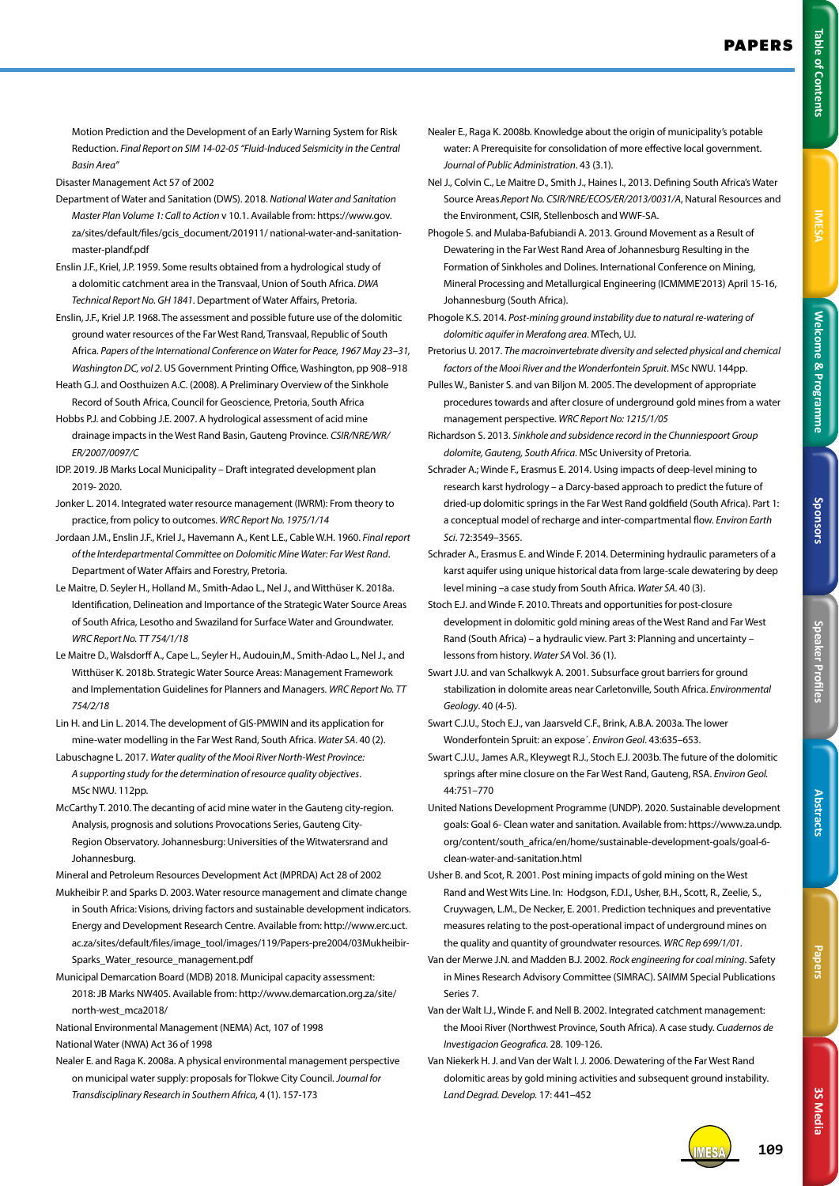Table of Contents

Motion Prediction and the Development of an Early Warning System for Risk Reduction. *Final Report on SIM 14-02-05 "Fluid-Induced Seismicity in the Central Basin Area"*

- Disaster Management Act 57 of 2002
- Department of Water and Sanitation (DWS). 2018. *National Water and Sanitation Master Plan Volume 1: Call to Action* v 10.1. Available from: https://www.gov. za/sites/default/files/gcis\_document/201911/ national-water-and-sanitationmaster-plandf.pdf
- Enslin J.F., Kriel, J.P. 1959. Some results obtained from a hydrological study of a dolomitic catchment area in the Transvaal, Union of South Africa. *DWA Technical Report No. GH 1841*. Department of Water Affairs, Pretoria.
- Enslin, J.F., Kriel J.P. 1968. The assessment and possible future use of the dolomitic ground water resources of the Far West Rand, Transvaal, Republic of South Africa. *Papers of the International Conference on Water for Peace, 1967 May 23–31, Washington DC, vol 2*. US Government Printing Office, Washington, pp 908–918
- Heath G.J. and Oosthuizen A.C. (2008). A Preliminary Overview of the Sinkhole Record of South Africa, Council for Geoscience, Pretoria, South Africa
- Hobbs P.J. and Cobbing J.E. 2007. A hydrological assessment of acid mine drainage impacts in the West Rand Basin, Gauteng Province. *CSIR/NRE/WR/ ER/2007/0097/C*
- IDP. 2019. JB Marks Local Municipality Draft integrated development plan 2019- 2020.
- Jonker L. 2014. Integrated water resource management (IWRM): From theory to practice, from policy to outcomes. *WRC Report No. 1975/1/14*
- Jordaan J.M., Enslin J.F., Kriel J., Havemann A., Kent L.E., Cable W.H. 1960. *Final report of the Interdepartmental Committee on Dolomitic Mine Water: Far West Rand*. Department of Water Affairs and Forestry, Pretoria.
- Le Maitre, D. Seyler H., Holland M., Smith-Adao L., Nel J., and Witthüser K. 2018a. Identification, Delineation and Importance of the Strategic Water Source Areas of South Africa, Lesotho and Swaziland for Surface Water and Groundwater. *WRC Report No. TT 754/1/18*
- Le Maitre D., Walsdorff A., Cape L., Seyler H., Audouin,M., Smith-Adao L., Nel J., and Witthüser K. 2018b. Strategic Water Source Areas: Management Framework and Implementation Guidelines for Planners and Managers. *WRC Report No. TT 754/2/18*
- Lin H. and Lin L. 2014. The development of GIS-PMWIN and its application for mine-water modelling in the Far West Rand, South Africa. *Water SA*. 40 (2).
- Labuschagne L. 2017. *Water quality of the Mooi River North-West Province: A supporting study for the determination of resource quality objectives*. MSc NWU. 112pp.
- McCarthy T. 2010. The decanting of acid mine water in the Gauteng city-region. Analysis, prognosis and solutions Provocations Series, Gauteng City-Region Observatory. Johannesburg: Universities of the Witwatersrand and Johannesburg.
- Mineral and Petroleum Resources Development Act (MPRDA) Act 28 of 2002
- Mukheibir P. and Sparks D. 2003. Water resource management and climate change in South Africa: Visions, driving factors and sustainable development indicators. Energy and Development Research Centre. Available from: http://www.erc.uct. ac.za/sites/default/files/image\_tool/images/119/Papers-pre2004/03Mukheibir-Sparks\_Water\_resource\_management.pdf
- Municipal Demarcation Board (MDB) 2018. Municipal capacity assessment: 2018: JB Marks NW405. Available from: http://www.demarcation.org.za/site/ north-west\_mca2018/
- National Environmental Management (NEMA) Act, 107 of 1998
- National Water (NWA) Act 36 of 1998
- Nealer E. and Raga K. 2008a. A physical environmental management perspective on municipal water supply: proposals for Tlokwe City Council. *Journal for Transdisciplinary Research in Southern Africa*, 4 (1). 157-173
- Nealer E., Raga K. 2008b. Knowledge about the origin of municipality's potable water: A Prerequisite for consolidation of more effective local government. *Journal of Public Administration*. 43 (3.1).
- Nel J., Colvin C., Le Maitre D., Smith J., Haines I., 2013. Defining South Africa's Water Source Areas.*Report No. CSIR/NRE/ECOS/ER/2013/0031/A*, Natural Resources and the Environment, CSIR, Stellenbosch and WWF-SA.
- Phogole S. and Mulaba-Bafubiandi A. 2013. Ground Movement as a Result of Dewatering in the Far West Rand Area of Johannesburg Resulting in the Formation of Sinkholes and Dolines. International Conference on Mining, Mineral Processing and Metallurgical Engineering (ICMMME'2013) April 15-16, Johannesburg (South Africa).
- Phogole K.S. 2014. *Post-mining ground instability due to natural re-watering of dolomitic aquifer in Merafong area*. MTech, UJ.
- Pretorius U. 2017. *The macroinvertebrate diversity and selected physical and chemical factors of the Mooi River and the Wonderfontein Spruit*. MSc NWU. 144pp.
- Pulles W., Banister S. and van Biljon M. 2005. The development of appropriate procedures towards and after closure of underground gold mines from a water management perspective. *WRC Report No: 1215/1/05*
- Richardson S. 2013. *Sinkhole and subsidence record in the Chunniespoort Group dolomite, Gauteng, South Africa*. MSc University of Pretoria.
- Schrader A.; Winde F., Erasmus E. 2014. Using impacts of deep-level mining to research karst hydrology – a Darcy-based approach to predict the future of dried-up dolomitic springs in the Far West Rand goldfield (South Africa). Part 1: a conceptual model of recharge and inter-compartmental flow. *Environ Earth Sci*. 72:3549–3565.
- Schrader A., Erasmus E. and Winde F. 2014. Determining hydraulic parameters of a karst aquifer using unique historical data from large-scale dewatering by deep level mining –a case study from South Africa. *Water SA*. 40 (3).
- Stoch E.J. and Winde F. 2010. Threats and opportunities for post-closure development in dolomitic gold mining areas of the West Rand and Far West Rand (South Africa) – a hydraulic view. Part 3: Planning and uncertainty – lessons from history. *Water SA* Vol. 36 (1).
- Swart J.U. and van Schalkwyk A. 2001. Subsurface grout barriers for ground stabilization in dolomite areas near Carletonville, South Africa. *Environmental Geology*. 40 (4-5).
- Swart C.J.U., Stoch E.J., van Jaarsveld C.F., Brink, A.B.A. 2003a. The lower Wonderfontein Spruit: an expose´. *Environ Geol*. 43:635–653.
- Swart C.J.U., James A.R., Kleywegt R.J., Stoch E.J. 2003b. The future of the dolomitic springs after mine closure on the Far West Rand, Gauteng, RSA. *Environ Geol.*  44:751–770
- United Nations Development Programme (UNDP). 2020. Sustainable development goals: Goal 6- Clean water and sanitation. Available from: https://www.za.undp. org/content/south\_africa/en/home/sustainable-development-goals/goal-6 clean-water-and-sanitation.html
- Usher B. and Scot, R. 2001. Post mining impacts of gold mining on the West Rand and West Wits Line. In: Hodgson, F.D.I., Usher, B.H., Scott, R., Zeelie, S., Cruywagen, L.M., De Necker, E. 2001. Prediction techniques and preventative measures relating to the post-operational impact of underground mines on the quality and quantity of groundwater resources. *WRC Rep 699/1/01*.
- Van der Merwe J.N. and Madden B.J. 2002. *Rock engineering for coal mining*. Safety in Mines Research Advisory Committee (SIMRAC). SAIMM Special Publications Series 7.
- Van der Walt I.J., Winde F. and Nell B. 2002. Integrated catchment management: the Mooi River (Northwest Province, South Africa). A case study. *Cuadernos de Investigacion Geografica*. 28. 109-126.
- Van Niekerk H. J. and Van der Walt I. J. 2006. Dewatering of the Far West Rand dolomitic areas by gold mining activities and subsequent ground instability. *Land Degrad. Develop.* 17: 441–452

**3S Media**

**3S Media** 

IMESA **109**